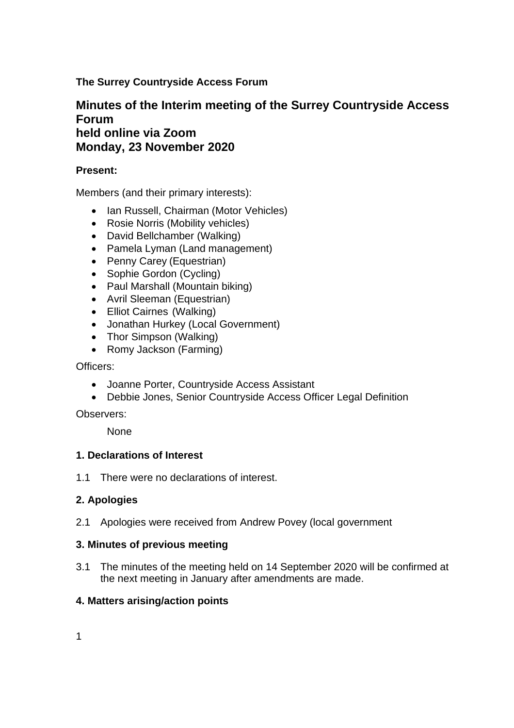**The Surrey Countryside Access Forum**

# **Minutes of the Interim meeting of the Surrey Countryside Access Forum held online via Zoom Monday, 23 November 2020**

## **Present:**

Members (and their primary interests):

- Ian Russell, Chairman (Motor Vehicles)
- Rosie Norris (Mobility vehicles)
- David Bellchamber (Walking)
- Pamela Lyman (Land management)
- Penny Carey (Equestrian)
- Sophie Gordon (Cycling)
- Paul Marshall (Mountain biking)
- Avril Sleeman (Equestrian)
- Elliot Cairnes (Walking)
- Jonathan Hurkey (Local Government)
- Thor Simpson (Walking)
- Romy Jackson (Farming)

Officers:

- Joanne Porter, Countryside Access Assistant
- Debbie Jones, Senior Countryside Access Officer Legal Definition

Observers:

None

### **1. Declarations of Interest**

1.1 There were no declarations of interest.

### **2. Apologies**

2.1 Apologies were received from Andrew Povey (local government

### **3. Minutes of previous meeting**

3.1 The minutes of the meeting held on 14 September 2020 will be confirmed at the next meeting in January after amendments are made.

### **4. Matters arising/action points**

1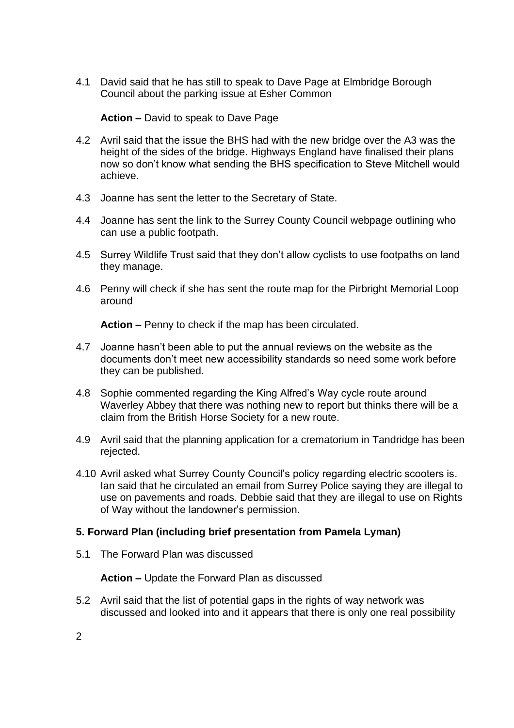4.1 David said that he has still to speak to Dave Page at Elmbridge Borough Council about the parking issue at Esher Common

### **Action –** David to speak to Dave Page

- 4.2 Avril said that the issue the BHS had with the new bridge over the A3 was the height of the sides of the bridge. Highways England have finalised their plans now so don't know what sending the BHS specification to Steve Mitchell would achieve.
- 4.3 Joanne has sent the letter to the Secretary of State.
- 4.4 Joanne has sent the link to the Surrey County Council webpage outlining who can use a public footpath.
- 4.5 Surrey Wildlife Trust said that they don't allow cyclists to use footpaths on land they manage.
- 4.6 Penny will check if she has sent the route map for the Pirbright Memorial Loop around

**Action –** Penny to check if the map has been circulated.

- 4.7 Joanne hasn't been able to put the annual reviews on the website as the documents don't meet new accessibility standards so need some work before they can be published.
- 4.8 Sophie commented regarding the King Alfred's Way cycle route around Waverley Abbey that there was nothing new to report but thinks there will be a claim from the British Horse Society for a new route.
- 4.9 Avril said that the planning application for a crematorium in Tandridge has been rejected.
- 4.10 Avril asked what Surrey County Council's policy regarding electric scooters is. Ian said that he circulated an email from Surrey Police saying they are illegal to use on pavements and roads. Debbie said that they are illegal to use on Rights of Way without the landowner's permission.

### **5. Forward Plan (including brief presentation from Pamela Lyman)**

5.1 The Forward Plan was discussed

**Action –** Update the Forward Plan as discussed

5.2 Avril said that the list of potential gaps in the rights of way network was discussed and looked into and it appears that there is only one real possibility

2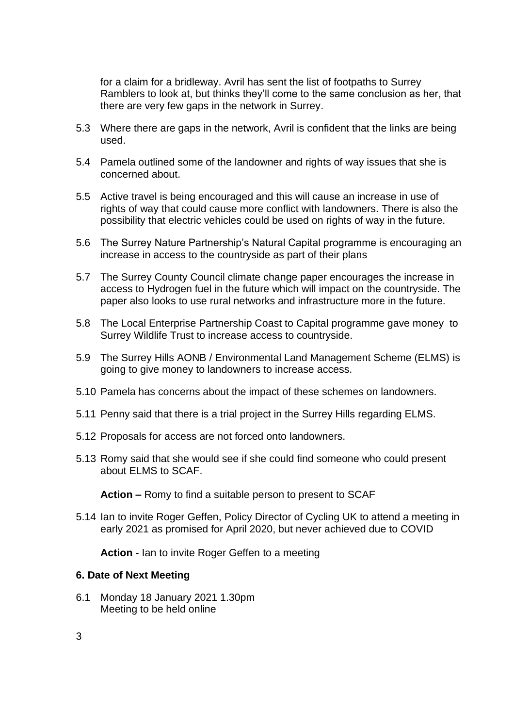for a claim for a bridleway. Avril has sent the list of footpaths to Surrey Ramblers to look at, but thinks they'll come to the same conclusion as her, that there are very few gaps in the network in Surrey.

- 5.3 Where there are gaps in the network, Avril is confident that the links are being used.
- 5.4 Pamela outlined some of the landowner and rights of way issues that she is concerned about.
- 5.5 Active travel is being encouraged and this will cause an increase in use of rights of way that could cause more conflict with landowners. There is also the possibility that electric vehicles could be used on rights of way in the future.
- 5.6 The Surrey Nature Partnership's Natural Capital programme is encouraging an increase in access to the countryside as part of their plans
- 5.7 The Surrey County Council climate change paper encourages the increase in access to Hydrogen fuel in the future which will impact on the countryside. The paper also looks to use rural networks and infrastructure more in the future.
- 5.8 The Local Enterprise Partnership Coast to Capital programme gave money to Surrey Wildlife Trust to increase access to countryside.
- 5.9 The Surrey Hills AONB / Environmental Land Management Scheme (ELMS) is going to give money to landowners to increase access.
- 5.10 Pamela has concerns about the impact of these schemes on landowners.
- 5.11 Penny said that there is a trial project in the Surrey Hills regarding ELMS.
- 5.12 Proposals for access are not forced onto landowners.
- 5.13 Romy said that she would see if she could find someone who could present about ELMS to SCAF.

**Action –** Romy to find a suitable person to present to SCAF

5.14 Ian to invite Roger Geffen, Policy Director of Cycling UK to attend a meeting in early 2021 as promised for April 2020, but never achieved due to COVID

**Action** - Ian to invite Roger Geffen to a meeting

#### **6. Date of Next Meeting**

6.1 Monday 18 January 2021 1.30pm Meeting to be held online